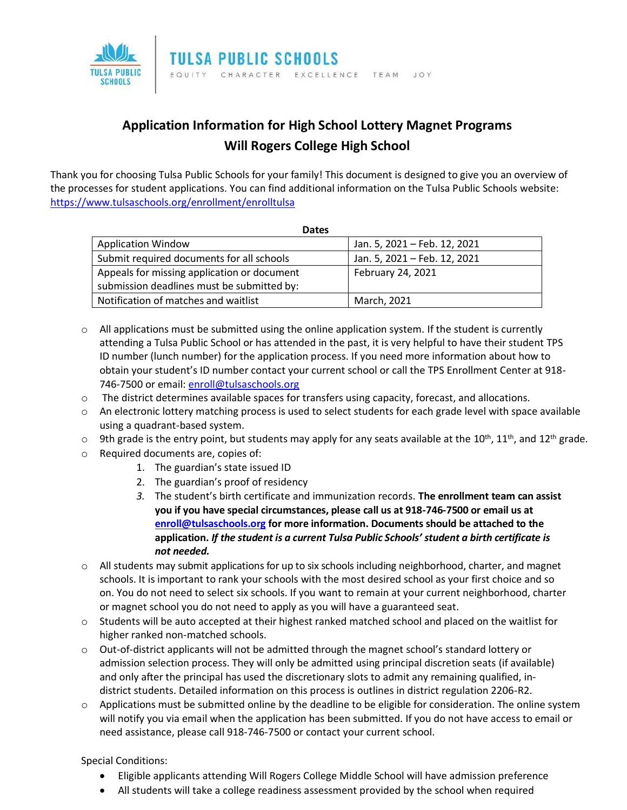

## **Application Information for High School Lottery Magnet Programs Will Rogers College High School**

Thank you for choosing Tulsa Public Schools for your family! This document is designed to give you an overview of the processes for student applications. You can find additional information on the Tulsa Public Schools website: <https://www.tulsaschools.org/enrollment/enrolltulsa>

| <b>Dates</b>                                |                              |
|---------------------------------------------|------------------------------|
| <b>Application Window</b>                   | Jan. 5, 2021 - Feb. 12, 2021 |
| Submit required documents for all schools   | Jan. 5, 2021 - Feb. 12, 2021 |
| Appeals for missing application or document | February 24, 2021            |
| submission deadlines must be submitted by:  |                              |
| Notification of matches and waitlist        | March, 2021                  |

- $\circ$  All applications must be submitted using the online application system. If the student is currently attending a Tulsa Public School or has attended in the past, it is very helpful to have their student TPS ID number (lunch number) for the application process. If you need more information about how to obtain your student's ID number contact your current school or call the TPS Enrollment Center at 918- 746-7500 or email: [enroll@tulsaschools.org](mailto:enroll@tulsaschools.org)
- o The district determines available spaces for transfers using capacity, forecast, and allocations.
- o An electronic lottery matching process is used to select students for each grade level with space available using a quadrant-based system.
- $\circ$  9th grade is the entry point, but students may apply for any seats available at the 10<sup>th</sup>, 11<sup>th</sup>, and 12<sup>th</sup> grade.
- o Required documents are, copies of:
	- 1. The guardian's state issued ID
	- 2. The guardian's proof of residency
	- *3.* The student's birth certificate and immunization records. **The enrollment team can assist you if you have special circumstances, please call us at 918-746-7500 or email us at [enroll@tulsaschools.org](mailto:enroll@tulsaschools.org) for more information. Documents should be attached to the application.** *If the student is a current Tulsa Public Schools' student a birth certificate is not needed.*
- $\circ$  All students may submit applications for up to six schools including neighborhood, charter, and magnet schools. It is important to rank your schools with the most desired school as your first choice and so on. You do not need to select six schools. If you want to remain at your current neighborhood, charter or magnet school you do not need to apply as you will have a guaranteed seat.
- $\circ$  Students will be auto accepted at their highest ranked matched school and placed on the waitlist for higher ranked non-matched schools.
- o Out-of-district applicants will not be admitted through the magnet school's standard lottery or admission selection process. They will only be admitted using principal discretion seats (if available) and only after the principal has used the discretionary slots to admit any remaining qualified, indistrict students. Detailed information on this process is outlines in district regulation 2206-R2.
- $\circ$  Applications must be submitted online by the deadline to be eligible for consideration. The online system will notify you via email when the application has been submitted. If you do not have access to email or need assistance, please call 918-746-7500 or contact your current school.

Special Conditions:

- Eligible applicants attending Will Rogers College Middle School will have admission preference
- All students will take a college readiness assessment provided by the school when required